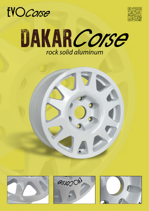# EVOCorse